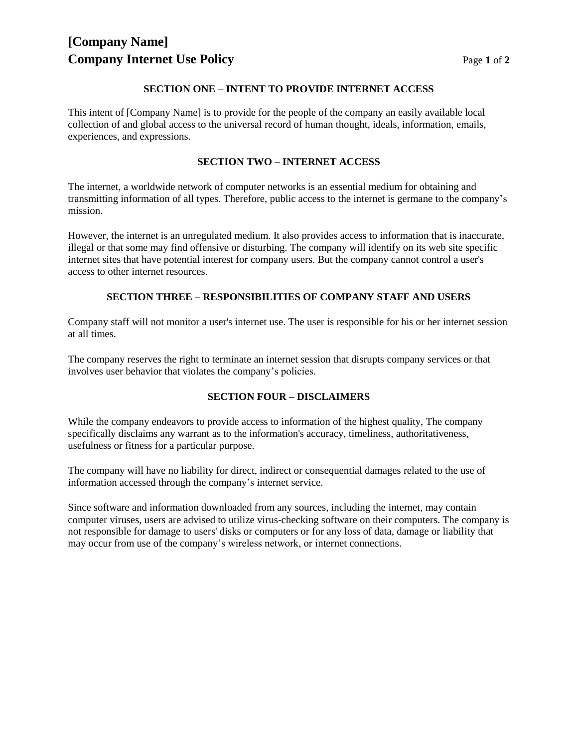# **[Company Name] Company Internet Use Policy Page 1** of 2

#### **SECTION ONE – INTENT TO PROVIDE INTERNET ACCESS**

This intent of [Company Name] is to provide for the people of the company an easily available local collection of and global access to the universal record of human thought, ideals, information, emails, experiences, and expressions.

### **SECTION TWO – INTERNET ACCESS**

The internet, a worldwide network of computer networks is an essential medium for obtaining and transmitting information of all types. Therefore, public access to the internet is germane to the company's mission.

However, the internet is an unregulated medium. It also provides access to information that is inaccurate, illegal or that some may find offensive or disturbing. The company will identify on its web site specific internet sites that have potential interest for company users. But the company cannot control a user's access to other internet resources.

## **SECTION THREE – RESPONSIBILITIES OF COMPANY STAFF AND USERS**

Company staff will not monitor a user's internet use. The user is responsible for his or her internet session at all times.

The company reserves the right to terminate an internet session that disrupts company services or that involves user behavior that violates the company's policies.

### **SECTION FOUR – DISCLAIMERS**

While the company endeavors to provide access to information of the highest quality, The company specifically disclaims any warrant as to the information's accuracy, timeliness, authoritativeness, usefulness or fitness for a particular purpose.

The company will have no liability for direct, indirect or consequential damages related to the use of information accessed through the company's internet service.

Since software and information downloaded from any sources, including the internet, may contain computer viruses, users are advised to utilize virus-checking software on their computers. The company is not responsible for damage to users' disks or computers or for any loss of data, damage or liability that may occur from use of the company's wireless network, or internet connections.